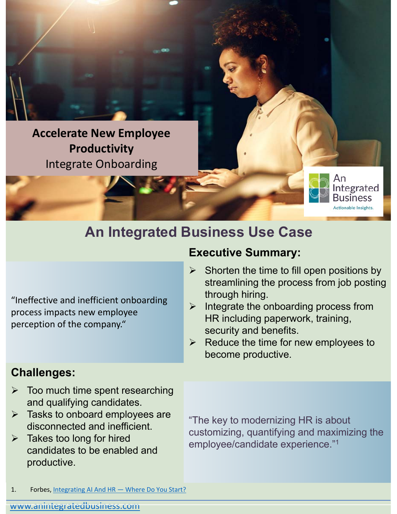**Accelerate New Employee Productivity** Integrate Onboarding

# **An Integrated Business Use Case**

"Ineffective and inefficient onboarding process impacts new employee perception of the company."

#### **Challenges:**

- $\triangleright$  Too much time spent researching and qualifying candidates.
- $\triangleright$  Tasks to onboard employees are disconnected and inefficient.
- $\triangleright$  Takes too long for hired candidates to be enabled and productive.

"The key to modernizing HR is about customizing, quantifying and maximizing the employee/candidate experience."1

 Shorten the time to fill open positions by streamlining the process from job posting

through hiring.  $\triangleright$  Integrate the onboarding process from HR including paperwork, training,

tegrated

**Actionable Insights.** 

security and benefits.

**Executive Summary:**

 $\triangleright$  Reduce the time for new employees to become productive.

1. Forbes, Integrating AI And HR — Where Do You Start?